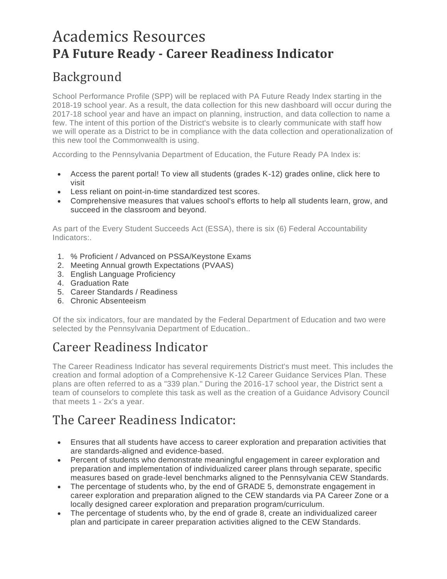# Academics Resources **PA Future Ready - Career Readiness Indicator**

### Background

School Performance Profile (SPP) will be replaced with PA Future Ready Index starting in the 2018-19 school year. As a result, the data collection for this new dashboard will occur during the 2017-18 school year and have an impact on planning, instruction, and data collection to name a few. The intent of this portion of the District's website is to clearly communicate with staff how we will operate as a District to be in compliance with the data collection and operationalization of this new tool the Commonwealth is using.

According to the Pennsylvania Department of Education, the Future Ready PA Index is:

- Access the parent portal! To view all students (grades K-12) grades online, click here to visit
- Less reliant on point-in-time standardized test scores.
- Comprehensive measures that values school's efforts to help all students learn, grow, and succeed in the classroom and beyond.

As part of the Every Student Succeeds Act (ESSA), there is six (6) Federal Accountability Indicators:.

- 1. % Proficient / Advanced on PSSA/Keystone Exams
- 2. Meeting Annual growth Expectations (PVAAS)
- 3. English Language Proficiency
- 4. Graduation Rate
- 5. Career Standards / Readiness
- 6. Chronic Absenteeism

Of the six indicators, four are mandated by the Federal Department of Education and two were selected by the Pennsylvania Department of Education..

### Career Readiness Indicator

The Career Readiness Indicator has several requirements District's must meet. This includes the creation and formal adoption of a Comprehensive K-12 Career Guidance Services Plan. These plans are often referred to as a "339 plan." During the 2016-17 school year, the District sent a team of counselors to complete this task as well as the creation of a Guidance Advisory Council that meets 1 - 2x's a year.

### The Career Readiness Indicator:

- Ensures that all students have access to career exploration and preparation activities that are standards-aligned and evidence-based.
- Percent of students who demonstrate meaningful engagement in career exploration and preparation and implementation of individualized career plans through separate, specific measures based on grade-level benchmarks aligned to the Pennsylvania CEW Standards.
- The percentage of students who, by the end of GRADE 5, demonstrate engagement in career exploration and preparation aligned to the CEW standards via PA Career Zone or a locally designed career exploration and preparation program/curriculum.
- The percentage of students who, by the end of grade 8, create an individualized career plan and participate in career preparation activities aligned to the CEW Standards.